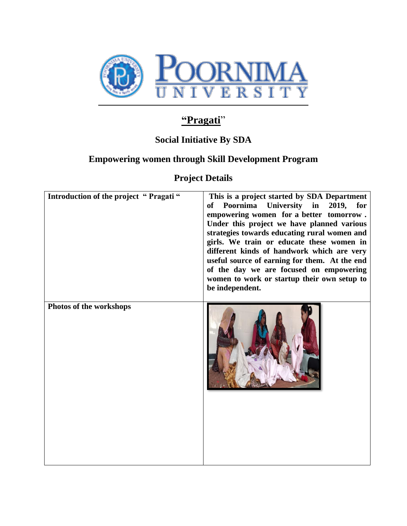

# **"Pragati**"

## **Social Initiative By SDA**

### **Empowering women through Skill Development Program**

**Project Details**

| Introduction of the project "Pragati" | This is a project started by SDA Department<br>Poornima<br>University in 2019, for<br>of<br>empowering women for a better tomorrow.<br>Under this project we have planned various<br>strategies towards educating rural women and<br>girls. We train or educate these women in<br>different kinds of handwork which are very<br>useful source of earning for them. At the end<br>of the day we are focused on empowering<br>women to work or startup their own setup to<br>be independent. |
|---------------------------------------|--------------------------------------------------------------------------------------------------------------------------------------------------------------------------------------------------------------------------------------------------------------------------------------------------------------------------------------------------------------------------------------------------------------------------------------------------------------------------------------------|
| Photos of the workshops               |                                                                                                                                                                                                                                                                                                                                                                                                                                                                                            |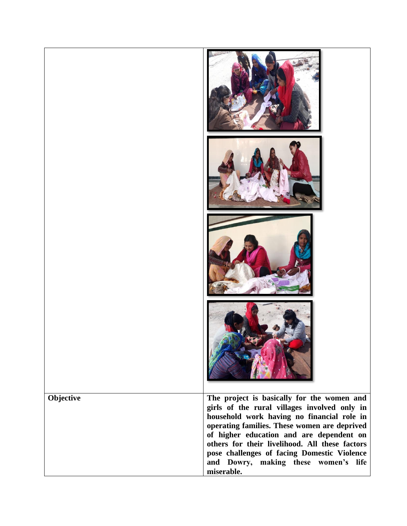| Objective | The project is basically for the women and<br>girls of the rural villages involved only in<br>household work having no financial role in<br>operating families. These women are deprived<br>of higher education and are dependent on<br>others for their livelihood. All these factors<br>pose challenges of facing Domestic Violence<br>and Dowry, making these women's life<br>miserable. |
|-----------|---------------------------------------------------------------------------------------------------------------------------------------------------------------------------------------------------------------------------------------------------------------------------------------------------------------------------------------------------------------------------------------------|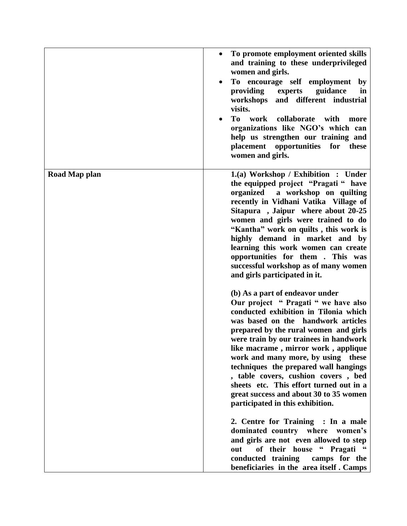|               | To promote employment oriented skills<br>$\bullet$<br>and training to these underprivileged<br>women and girls.<br>To encourage self employment<br>by<br>$\bullet$<br>providing<br>guidance<br>experts<br>in<br>workshops<br>and different industrial<br>visits.<br>To<br>work<br>collaborate<br>with<br>more<br>organizations like NGO's which can<br>help us strengthen our training and<br>placement opportunities for<br>these<br>women and girls.                                                                          |
|---------------|---------------------------------------------------------------------------------------------------------------------------------------------------------------------------------------------------------------------------------------------------------------------------------------------------------------------------------------------------------------------------------------------------------------------------------------------------------------------------------------------------------------------------------|
| Road Map plan | 1.(a) Workshop / Exhibition : Under<br>the equipped project "Pragati" have<br>a workshop on quilting<br>organized<br>recently in Vidhani Vatika Village of<br>Sitapura, Jaipur where about 20-25<br>women and girls were trained to do<br>"Kantha" work on quilts, this work is<br>highly demand in market and by<br>learning this work women can create<br>opportunities for them. This was<br>successful workshop as of many women<br>and girls participated in it.                                                           |
|               | (b) As a part of endeavor under<br>Our project " Pragati " we have also<br>conducted exhibition in Tilonia which<br>was based on the handwork articles<br>prepared by the rural women and girls<br>were train by our trainees in handwork<br>like macrame, mirror work, applique<br>work and many more, by using these<br>techniques the prepared wall hangings<br>, table covers, cushion covers, bed<br>sheets etc. This effort turned out in a<br>great success and about 30 to 35 women<br>participated in this exhibition. |
|               | 2. Centre for Training : In a male<br>dominated country where women's<br>and girls are not even allowed to step<br>of their house " Pragati "<br>out<br>conducted training<br>camps for the<br>beneficiaries in the area itself. Camps                                                                                                                                                                                                                                                                                          |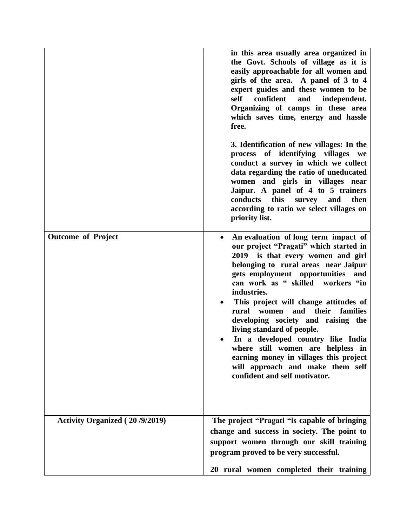|                                       | in this area usually area organized in<br>the Govt. Schools of village as it is<br>easily approachable for all women and<br>girls of the area. A panel of 3 to 4<br>expert guides and these women to be<br>self<br>confident<br>independent.<br>and<br>Organizing of camps in these area<br>which saves time, energy and hassle<br>free.                                                                                                                                                                                                                                                                 |
|---------------------------------------|----------------------------------------------------------------------------------------------------------------------------------------------------------------------------------------------------------------------------------------------------------------------------------------------------------------------------------------------------------------------------------------------------------------------------------------------------------------------------------------------------------------------------------------------------------------------------------------------------------|
|                                       | 3. Identification of new villages: In the<br>process of identifying villages we<br>conduct a survey in which we collect<br>data regarding the ratio of uneducated<br>women and girls in villages near<br>Jaipur. A panel of 4 to 5 trainers<br>conducts<br>this<br>then<br>survey<br>and<br>according to ratio we select villages on<br>priority list.                                                                                                                                                                                                                                                   |
| <b>Outcome of Project</b>             | An evaluation of long term impact of<br>our project "Pragati" which started in<br>2019 is that every women and girl<br>belonging to rural areas near Jaipur<br>gets employment opportunities<br>and<br>can work as " skilled workers "in<br>industries.<br>This project will change attitudes of<br>families<br>rural women<br>and<br>their<br>developing society and raising the<br>living standard of people.<br>In a developed country like India<br>where still women are helpless in<br>earning money in villages this project<br>will approach and make them self<br>confident and self motivator. |
| <b>Activity Organized (20/9/2019)</b> | The project "Pragati "is capable of bringing<br>change and success in society. The point to<br>support women through our skill training<br>program proved to be very successful.                                                                                                                                                                                                                                                                                                                                                                                                                         |
|                                       | 20 rural women completed their training                                                                                                                                                                                                                                                                                                                                                                                                                                                                                                                                                                  |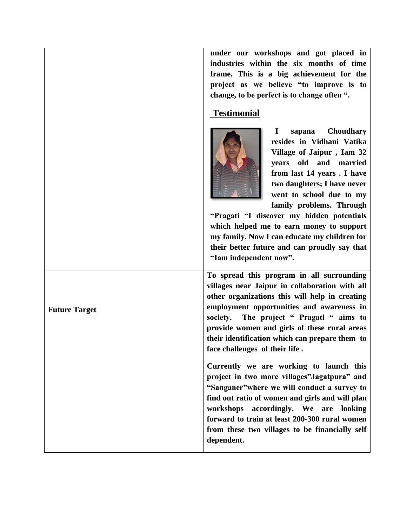**under our workshops and got placed in industries within the six months of time frame. This is a big achievement for the project as we believe "to improve is to change, to be perfect is to change often ".**

#### **Testimonial**



**Future Target**

 **I sapana Choudhary resides in Vidhani Vatika Village of Jaipur , Iam 32 years old and married from last 14 years . I have two daughters; I have never went to school due to my family problems. Through** 

**"Pragati "I discover my hidden potentials which helped me to earn money to support my family. Now I can educate my children for their better future and can proudly say that "Iam independent now".**

**To spread this program in all surrounding villages near Jaipur in collaboration with all other organizations this will help in creating employment opportunities and awareness in society. The project " Pragati " aims to provide women and girls of these rural areas their identification which can prepare them to face challenges of their life .** 

**Currently we are working to launch this project in two more villages"Jagatpura" and "Sanganer"where we will conduct a survey to find out ratio of women and girls and will plan workshops accordingly. We are looking forward to train at least 200-300 rural women from these two villages to be financially self dependent.**